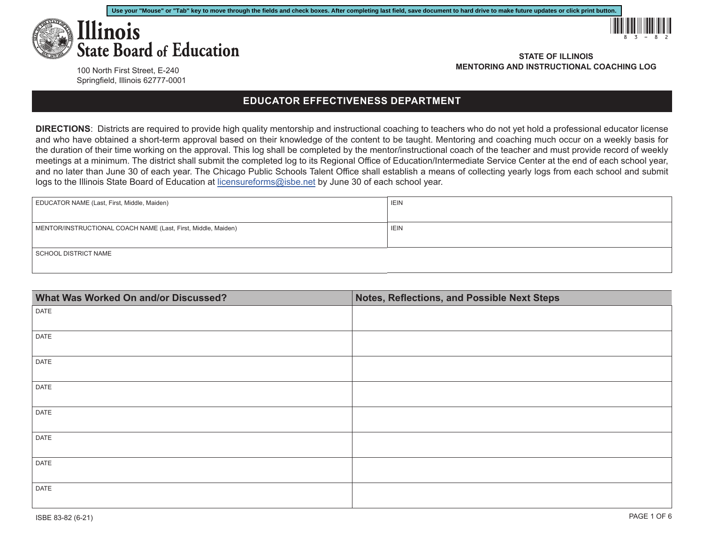



100 North First Street, E-240 Springfield, Illinois 62777-0001

**STATE OF ILLINOIS MENTORING AND INSTRUCTIONAL COACHING LOG**

## **EDUCATOR EFFECTIVENESS DEPARTMENT**

**DIRECTIONS**: Districts are required to provide high quality mentorship and instructional coaching to teachers who do not yet hold a professional educator license and who have obtained a short-term approval based on their knowledge of the content to be taught. Mentoring and coaching much occur on a weekly basis for the duration of their time working on the approval. This log shall be completed by the mentor/instructional coach of the teacher and must provide record of weekly meetings at a minimum. The district shall submit the completed log to its Regional Office of Education/Intermediate Service Center at the end of each school year, and no later than June 30 of each year. The Chicago Public Schools Talent Office shall establish a means of collecting yearly logs from each school and submit logs to the Illinois State Board of Education at [licensureforms@isbe.net](mailto:licensureforms%40isbe.net?subject=) by June 30 of each school year.

| EDUCATOR NAME (Last, First, Middle, Maiden)                   | <b>IEIN</b> |
|---------------------------------------------------------------|-------------|
|                                                               |             |
| MENTOR/INSTRUCTIONAL COACH NAME (Last, First, Middle, Maiden) | <b>IEIN</b> |
|                                                               |             |
| SCHOOL DISTRICT NAME                                          |             |
|                                                               |             |
|                                                               |             |

| What Was Worked On and/or Discussed? | Notes, Reflections, and Possible Next Steps |  |
|--------------------------------------|---------------------------------------------|--|
| DATE                                 |                                             |  |
|                                      |                                             |  |
| <b>DATE</b>                          |                                             |  |
| <b>DATE</b>                          |                                             |  |
| DATE                                 |                                             |  |
| <b>DATE</b>                          |                                             |  |
| DATE                                 |                                             |  |
| DATE                                 |                                             |  |
| <b>DATE</b>                          |                                             |  |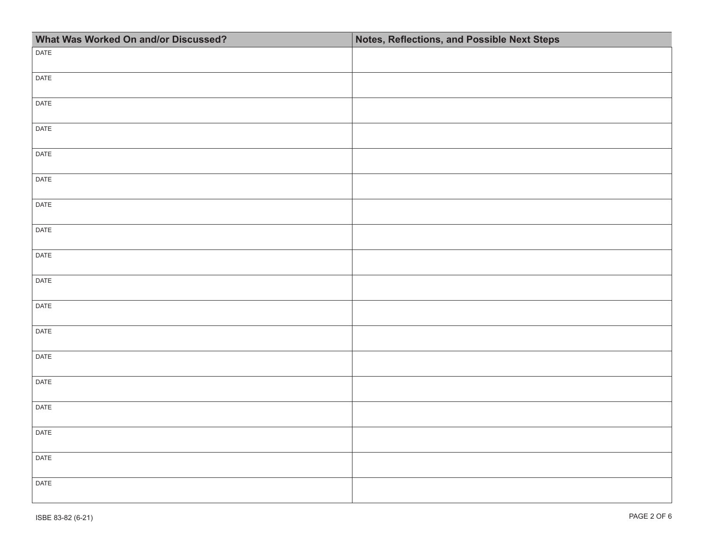| What Was Worked On and/or Discussed? | Notes, Reflections, and Possible Next Steps |  |
|--------------------------------------|---------------------------------------------|--|
| DATE                                 |                                             |  |
| DATE                                 |                                             |  |
| DATE                                 |                                             |  |
| DATE                                 |                                             |  |
| DATE                                 |                                             |  |
| DATE                                 |                                             |  |
| DATE                                 |                                             |  |
| DATE                                 |                                             |  |
| DATE                                 |                                             |  |
| DATE                                 |                                             |  |
| DATE                                 |                                             |  |
| DATE                                 |                                             |  |
| DATE                                 |                                             |  |
| DATE                                 |                                             |  |
| DATE                                 |                                             |  |
| DATE                                 |                                             |  |
| DATE                                 |                                             |  |
| DATE                                 |                                             |  |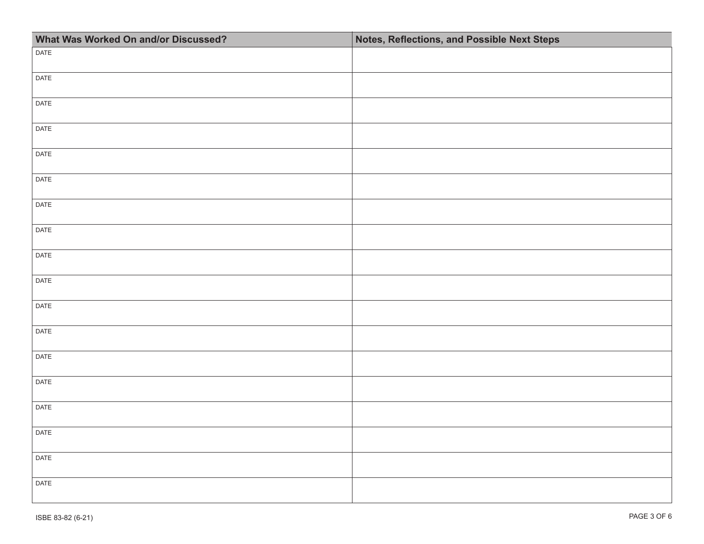| What Was Worked On and/or Discussed? | Notes, Reflections, and Possible Next Steps |  |
|--------------------------------------|---------------------------------------------|--|
| DATE                                 |                                             |  |
| DATE                                 |                                             |  |
| DATE                                 |                                             |  |
| DATE                                 |                                             |  |
| DATE                                 |                                             |  |
| DATE                                 |                                             |  |
| DATE                                 |                                             |  |
| DATE                                 |                                             |  |
| DATE                                 |                                             |  |
| DATE                                 |                                             |  |
| DATE                                 |                                             |  |
| DATE                                 |                                             |  |
| DATE                                 |                                             |  |
| DATE                                 |                                             |  |
| DATE                                 |                                             |  |
| DATE                                 |                                             |  |
| DATE                                 |                                             |  |
| DATE                                 |                                             |  |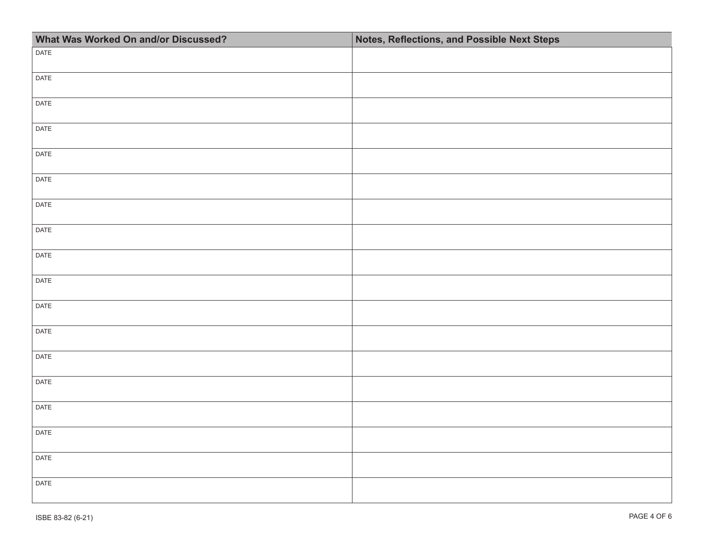| What Was Worked On and/or Discussed? | Notes, Reflections, and Possible Next Steps |  |
|--------------------------------------|---------------------------------------------|--|
| DATE                                 |                                             |  |
| DATE                                 |                                             |  |
| DATE                                 |                                             |  |
| DATE                                 |                                             |  |
| DATE                                 |                                             |  |
| DATE                                 |                                             |  |
| DATE                                 |                                             |  |
| DATE                                 |                                             |  |
| DATE                                 |                                             |  |
| DATE                                 |                                             |  |
| DATE                                 |                                             |  |
| DATE                                 |                                             |  |
| DATE                                 |                                             |  |
| DATE                                 |                                             |  |
| DATE                                 |                                             |  |
| DATE                                 |                                             |  |
| DATE                                 |                                             |  |
| DATE                                 |                                             |  |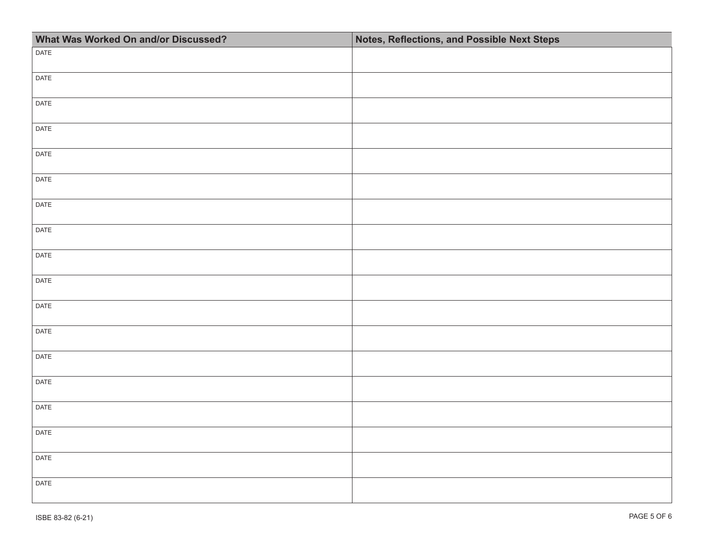| What Was Worked On and/or Discussed? | Notes, Reflections, and Possible Next Steps |  |
|--------------------------------------|---------------------------------------------|--|
| DATE                                 |                                             |  |
| DATE                                 |                                             |  |
| DATE                                 |                                             |  |
| DATE                                 |                                             |  |
| DATE                                 |                                             |  |
| DATE                                 |                                             |  |
| DATE                                 |                                             |  |
| DATE                                 |                                             |  |
| DATE                                 |                                             |  |
| DATE                                 |                                             |  |
| DATE                                 |                                             |  |
| DATE                                 |                                             |  |
| DATE                                 |                                             |  |
| DATE                                 |                                             |  |
| DATE                                 |                                             |  |
| DATE                                 |                                             |  |
| DATE                                 |                                             |  |
| DATE                                 |                                             |  |